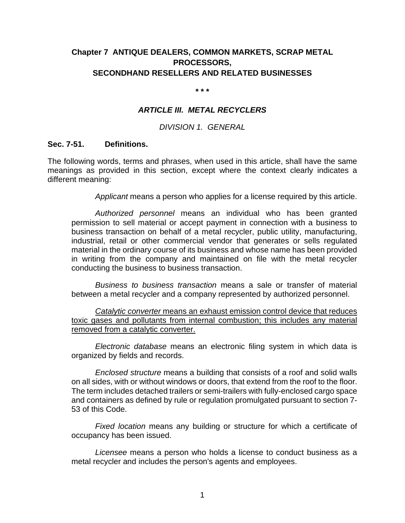# **Chapter 7 ANTIQUE DEALERS, COMMON MARKETS, SCRAP METAL PROCESSORS, SECONDHAND RESELLERS AND RELATED BUSINESSES**

#### **\* \* \***

### *ARTICLE III. METAL RECYCLERS*

### *DIVISION 1. GENERAL*

### **Sec. 7-51. Definitions.**

The following words, terms and phrases, when used in this article, shall have the same meanings as provided in this section, except where the context clearly indicates a different meaning:

*Applicant* means a person who applies for a license required by this article.

*Authorized personnel* means an individual who has been granted permission to sell material or accept payment in connection with a business to business transaction on behalf of a metal recycler, public utility, manufacturing, industrial, retail or other commercial vendor that generates or sells regulated material in the ordinary course of its business and whose name has been provided in writing from the company and maintained on file with the metal recycler conducting the business to business transaction.

*Business to business transaction* means a sale or transfer of material between a metal recycler and a company represented by authorized personnel.

*Catalytic converter* means an exhaust emission control device that reduces toxic gases and pollutants from internal combustion; this includes any material removed from a catalytic converter.

*Electronic database* means an electronic filing system in which data is organized by fields and records.

*Enclosed structure* means a building that consists of a roof and solid walls on all sides, with or without windows or doors, that extend from the roof to the floor. The term includes detached trailers or semi-trailers with fully-enclosed cargo space and containers as defined by rule or regulation promulgated pursuant to section 7- 53 of this Code.

*Fixed location* means any building or structure for which a certificate of occupancy has been issued.

*Licensee* means a person who holds a license to conduct business as a metal recycler and includes the person's agents and employees.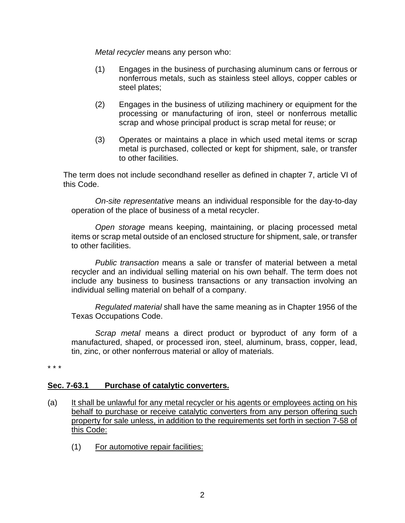*Metal recycler* means any person who:

- (1) Engages in the business of purchasing aluminum cans or ferrous or nonferrous metals, such as stainless steel alloys, copper cables or steel plates;
- (2) Engages in the business of utilizing machinery or equipment for the processing or manufacturing of iron, steel or nonferrous metallic scrap and whose principal product is scrap metal for reuse; or
- (3) Operates or maintains a place in which used metal items or scrap metal is purchased, collected or kept for shipment, sale, or transfer to other facilities.

The term does not include secondhand reseller as defined in chapter 7, article VI of this Code.

*On-site representative* means an individual responsible for the day-to-day operation of the place of business of a metal recycler.

*Open storage* means keeping, maintaining, or placing processed metal items or scrap metal outside of an enclosed structure for shipment, sale, or transfer to other facilities.

*Public transaction* means a sale or transfer of material between a metal recycler and an individual selling material on his own behalf. The term does not include any business to business transactions or any transaction involving an individual selling material on behalf of a company.

*Regulated material* shall have the same meaning as in Chapter 1956 of the Texas Occupations Code.

*Scrap metal* means a direct product or byproduct of any form of a manufactured, shaped, or processed iron, steel, aluminum, brass, copper, lead, tin, zinc, or other nonferrous material or alloy of materials.

\* \* \*

## **Sec. 7-63.1 Purchase of catalytic converters.**

- (a) It shall be unlawful for any metal recycler or his agents or employees acting on his behalf to purchase or receive catalytic converters from any person offering such property for sale unless, in addition to the requirements set forth in section 7-58 of this Code:
	- (1) For automotive repair facilities: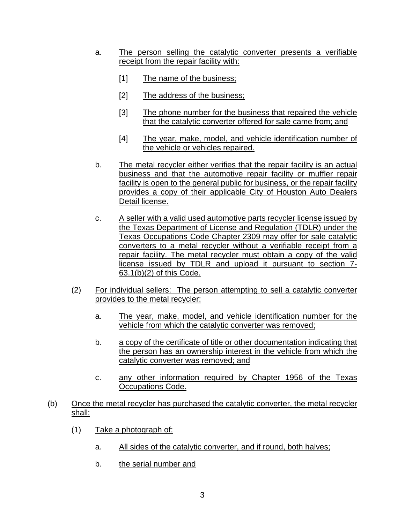- a. The person selling the catalytic converter presents a verifiable receipt from the repair facility with:
	- [1] The name of the business;
	- [2] The address of the business;
	- [3] The phone number for the business that repaired the vehicle that the catalytic converter offered for sale came from; and
	- [4] The year, make, model, and vehicle identification number of the vehicle or vehicles repaired.
- b. The metal recycler either verifies that the repair facility is an actual business and that the automotive repair facility or muffler repair facility is open to the general public for business, or the repair facility provides a copy of their applicable City of Houston Auto Dealers Detail license.
- c. A seller with a valid used automotive parts recycler license issued by the Texas Department of License and Regulation (TDLR) under the Texas Occupations Code Chapter 2309 may offer for sale catalytic converters to a metal recycler without a verifiable receipt from a repair facility. The metal recycler must obtain a copy of the valid license issued by TDLR and upload it pursuant to section 7- 63.1(b)(2) of this Code.
- (2) For individual sellers: The person attempting to sell a catalytic converter provides to the metal recycler:
	- a. The year, make, model, and vehicle identification number for the vehicle from which the catalytic converter was removed;
	- b. a copy of the certificate of title or other documentation indicating that the person has an ownership interest in the vehicle from which the catalytic converter was removed; and
	- c. any other information required by Chapter 1956 of the Texas Occupations Code.
- (b) Once the metal recycler has purchased the catalytic converter, the metal recycler shall:
	- (1) Take a photograph of:
		- a. All sides of the catalytic converter, and if round, both halves;
		- b. the serial number and